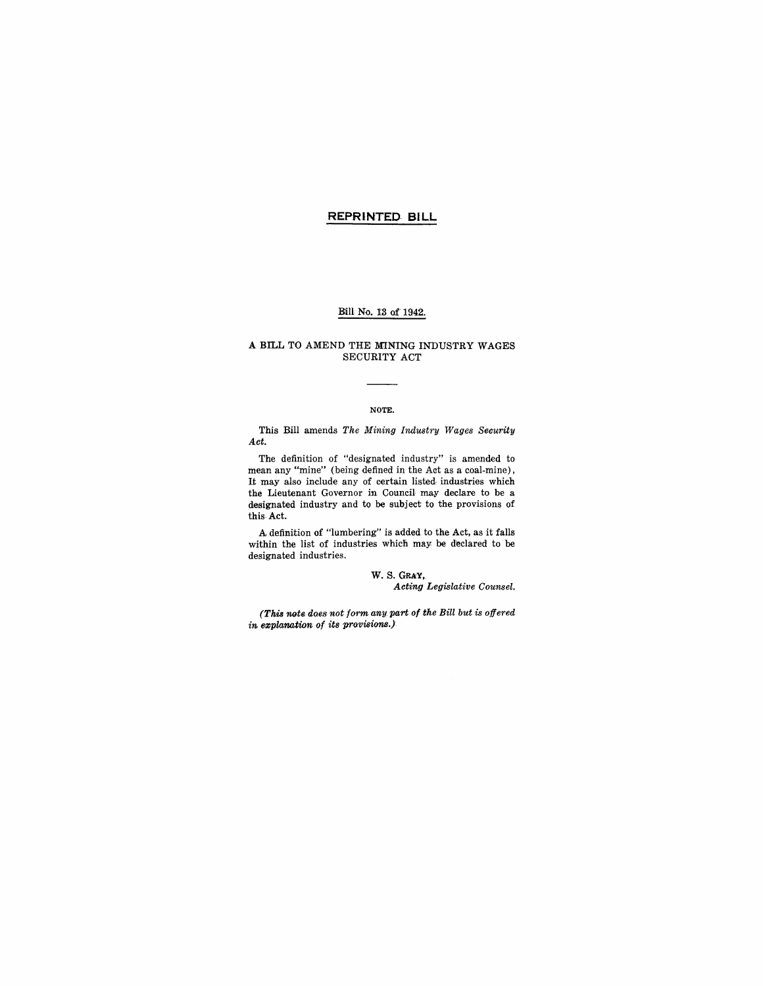## **REPRINTED- BILL**

### Bill No. 13 of' 1942.

#### A BILL TO AMEND THE MINING INDUSTRY WAGES SECURITY ACT

#### NOTE.

This Bill amends *The Mining Industry Wages Security Act.* 

The definition of "designated industry" is amended to mean any "mine" (being defined in the Act as a coal-mine), It may also include any of certain listed industries which the Lieutenant Governor in Council may declare to be a designated industry and to be subject to the provisions of this,Act.

A definition of "lumbering" is added to the Act, as it falls within the list of industries which may be declared to be designated industries.

> W. S. GRAY,  $Acting$  *Legislative Counsel.*

*(This note. does not form any part of the Bill but is offered in 6zplanation of its provisions.)*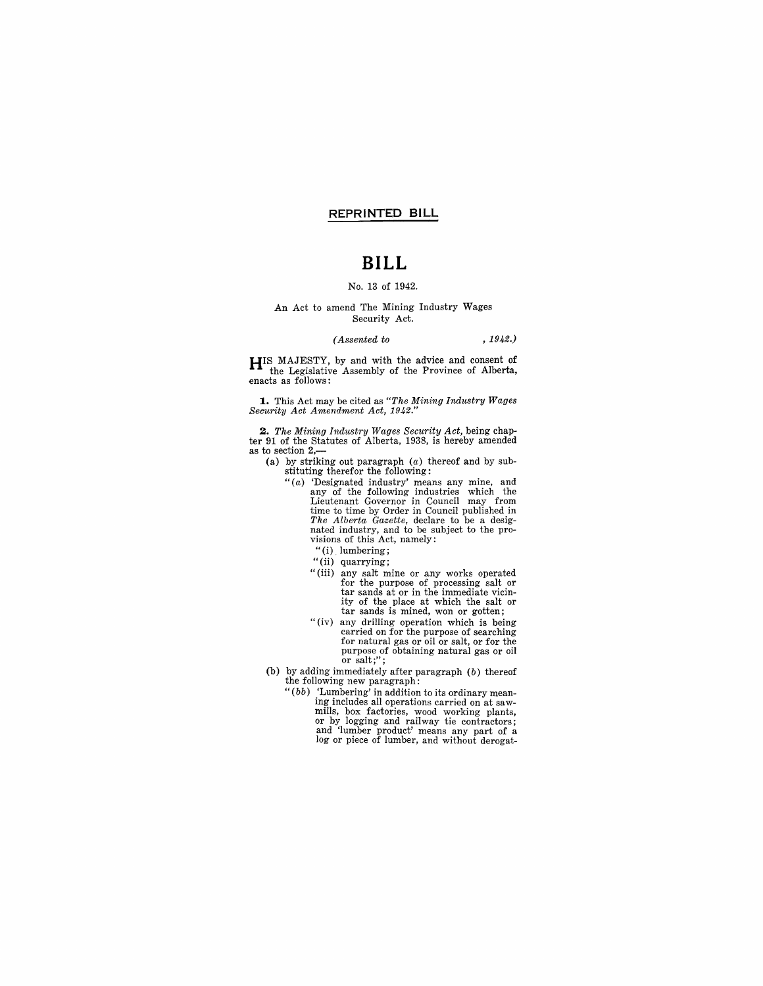### **REPRINTED BILL**

# **BILL**

#### No. 13 of 1942.

#### An Act to amend The Mining Industry Wages Security Act.

#### *(Assented to* ,1942.)

**HIS** MAJESTY, by and with the advice and consent of the Legislative Assembly of the Province of Alberta, enacts as follows:

**1.** This Act may be cited as *"The Mining Industry Wages Security Act Amendment Act, 1942."* 

*2. The Mining Industry Wages Security Act,* being chapter 91 of the Statutes of Alberta, 1938, is hereby amended as to section 2,-

(a) by striking out paragraph (a) thereof and by sub-stituting therefor the following:

- "(a) 'Designated industry' means any mine, and any of the following industries which the Lieutenant Governor in Council may from time to time by Order in Council published in *The Alberta Gazette,* declare to be a designated industry, and to be subject to the pro-visions of this Act, namely:
	- "(i) lumbering;
	- "(ii) quarrying;
	- "(iii) any salt mine or any works operated tar sands at or in the immediate vicinity of the place at which the salt or tar sands is mined, won or gotten;
	- "(iv) any drilling operation which is being carried on for the purpose of searching for natural gas or oil or salt, or for the purpose of obtaining natural gas or oil<br>or salt;";
- (b) by adding immediately after paragraph (b) thereof the following new paragraph:
	- *"(bb)* 'Lumbering' in addition to its ordinary mean- ing includes all operations carried on at saw- mills, box factories, wood working plants, or by logging and railway tie contractors; and 'lumber product' means any part of a log or piece of lumber, and without derogat-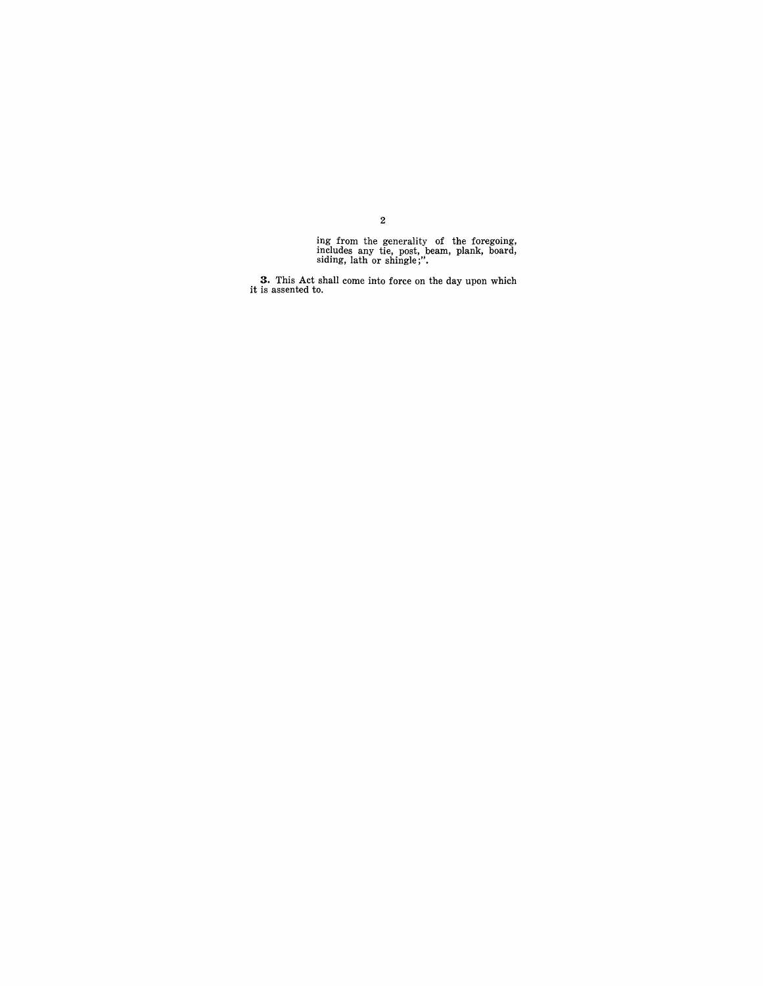ing from the generality of the foregoing, includes any tie, post, beam, plank, board, siding, lath or shingle;".

**3.** This Act shall come into force on the day upon which it is assented to.

2